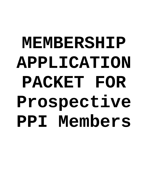# **MEMBERSHIP APPLICATION PACKET FOR Prospective PPI Members**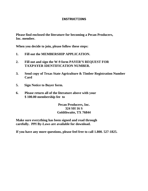# **INSTRUCTIONS**

**Please find enclosed the literature for becoming a Pecan Producers, Inc. member.** 

**When you decide to join, please follow these steps:** 

- **1. Fill out the MEMBERSHIP APPLICATION.**
- **2. Fill out and sign the W-9 form PAYER'S REQUEST FOR TAXPAYER IDENTIFICATION NUMBER.**
- **3. Send copy of Texas State Agriculture & Timber Registration Number Card**
- **5. Sign Notice to Buyer form.**
- **6. Please return all of the literature above with your \$ 100.00 membership fee to**

**Pecan Producers, Inc. 324 SH 16 S Goldthwaite, TX 76844** 

**Make sure everything has been signed and read through carefully. PPI By-Laws are available for download.** 

**If you have any more questions, please feel free to call 1.800. 527-1825.**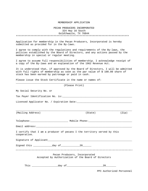#### MEMBERSHIP APPLICATION

### PECAN PRODUCERS INCORPORATED 324 Hwy 16 South Goldthwaite, TX 76844 \*\*\*\*\*\*\*\*\*\*\*\*\*\*\*\*\*\*\*\*\*\*\*\*\*\*\*\*\*\*\*\*\*\*\*\*\*\*\*\*\*\*\*\*\*\*\*\*\*\*\*\*\*\*\*\*\*\*\*\*\*\*\*\*\*\*\*\*\*\*\*\*\*\*\*\*\*\*

Application for membership in the Pecan Producers, Incorporated is hereby submitted as provided for in the By-laws.

I agree to comply with the regulations and requirements of the By-laws, the policies established by the Board of Directors, and any actions passed by the membership in special or regular meeting.

I agree to assume full responsibilities of membership. I acknowledge receipt of a copy of the By-laws and an explanation of the 1962 Revenue Act.

It is understood that, if approved by the Board of Directors, I will be admitted with full rights of membership as soon as the par value of \$ 100.00 share of stock has been earned by patronage or paid in cash.

\_\_\_\_\_\_\_\_\_\_\_\_\_\_\_\_\_\_\_\_\_\_\_\_\_\_\_\_\_\_\_\_\_\_\_\_\_\_\_\_\_\_\_\_\_\_\_\_\_\_\_\_\_\_\_\_\_\_\_\_\_\_\_\_\_\_\_\_\_\_\_\_\_\_\_\_\_\_\_\_

Please issue the Stock Certificate in the name or names of:

| (Please Print)                                                                          |                                                                                      |       |  |
|-----------------------------------------------------------------------------------------|--------------------------------------------------------------------------------------|-------|--|
| My Social Security No. or                                                               |                                                                                      |       |  |
|                                                                                         |                                                                                      |       |  |
|                                                                                         |                                                                                      |       |  |
|                                                                                         |                                                                                      |       |  |
| (Mailing Address)                                                                       | (State)                                                                              | (Zip) |  |
|                                                                                         |                                                                                      |       |  |
|                                                                                         |                                                                                      |       |  |
| I certify that I am a producer of pecans I the territory served by this<br>cooperative. |                                                                                      |       |  |
|                                                                                         |                                                                                      |       |  |
|                                                                                         |                                                                                      |       |  |
|                                                                                         | Pecan Producers, Incorporated<br>Accepted by Authorization of the Board of Directors |       |  |
|                                                                                         | 20                                                                                   |       |  |

PPI Authorized Personnel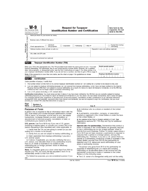| Form                                   | <b>M-9</b><br><b>Request for Taxpayer</b><br>(Rev. November 2005)<br><b>Identification Number and Certification</b><br>Department of the Treasury<br>Internal Revenue Service |                                                                         |                                         | Give form to the<br>requester. Do not<br>send to the IRS. |  |
|----------------------------------------|-------------------------------------------------------------------------------------------------------------------------------------------------------------------------------|-------------------------------------------------------------------------|-----------------------------------------|-----------------------------------------------------------|--|
| $\sim$                                 | Name (as shown on your income tax return)                                                                                                                                     |                                                                         |                                         |                                                           |  |
| page<br>S                              | Business name, if different from above                                                                                                                                        |                                                                         |                                         |                                                           |  |
| Specific Instructions<br>Print or type | Check appropriate box:                                                                                                                                                        | Individual/<br>Corporation<br>Partnership<br>Other I<br>Sole proprietor |                                         | Exempt from backup<br>withholding                         |  |
|                                        | Address (number, street, and apt. or suite no.)                                                                                                                               |                                                                         | Requester's name and address (optional) |                                                           |  |
|                                        | City, state, and ZIP code                                                                                                                                                     |                                                                         |                                         |                                                           |  |
| See:                                   | List account number(s) here (optional)                                                                                                                                        |                                                                         |                                         |                                                           |  |
| Part I                                 |                                                                                                                                                                               | Taxpayer Identification Number (TIN)                                    |                                         |                                                           |  |

packup withholding. For individuals, this is your social security number (כּוֹאוֹ, However, for a resident<br>alien, sole proprietor, or disregarded entity, see the Part I instructions on page 3. For other entities, it is your employer identification number (EIN). If you do not have a number, see How to get a TIN on page 3. Note. If the account is in more than one name, see the chart on page 4 for guidelines on whose

| Social security number |                                       |  |
|------------------------|---------------------------------------|--|
|                        |                                       |  |
|                        |                                       |  |
|                        | <b>Employer identification number</b> |  |

#### Part II Certification

number to enter.

Under penalties of perjury, I certify that:

1. The number shown on this form is my correct taxpayer identification number (or I am waiting for a number to be issued to me), and

- 2. I am not subject to backup withholding because: (a) I am exempt from backup withholding, or (b) I have not been notified by the Internal Revenue Service (IRS) that I am subject to backup withholding as a result of a failure to report all interest or dividends, or (c) the IRS has notified me that I am no longer subject to backup withholding, and
- 3. I am a U.S. person (including a U.S. resident alien).

Certification instructions. You must cross out item 2 above if you have been notified by the IRS that you are currently subject to backup withholding because you have failed to report all interest and dividends on your tax return. For real estate transactions, item 2 does not apply. For mortgage interest paid, acquisition or abandonment of secured property, cancellation of debt, contributions to an individual retirement arrangement (IRA), and generally, payments other than interest and dividends, you are not required to sign the Certification, but you must provide your correct TIN. (See the instructions on page 4.)

| Sign<br>Here<br>$\sim$ | ature of<br>person P | Date |  |
|------------------------|----------------------|------|--|
|------------------------|----------------------|------|--|

#### **Purpose of Form**

A person who is required to file an information return with the IRS, must obtain your correct taxpayer identification number (TIN) to report, for example, income paid to you, real estate transactions, mortgage interest you paid, acquisition or abandonment of secured property, cancellation of debt, or contributions you made to an IRA

U.S. person. Use Form W-9 only if you are a U.S. person (including a resident alien), to provide your correct TIN to the person requesting it (the requester) and, when applicable, to:

1. Certify that the TIN you are giving is correct (or you are waiting for a number to be issued),

2. Certify that you are not subject to backup withholding, or

3. Claim exemption from backup withholding if you are a U.S. exempt payee.

In 3 above, if applicable, you are also certifying that as a U.S. person, your allocable share of any partnership income from a U.S. trade or business is not subject to the withholding tax on foreign partners' share of effectively connected income.

Note. If a requester gives you a form other than Form W-9 to request your TIN, you must use the requester's form if it is substantially similar to this Form W-9.

For federal tax purposes, you are considered a person if you are:

• An individual who is a citizen or resident of the United States,

• A partnership, corporation, company, or association created or organized in the United States or under the laws of the United States, or

 $\bullet$  Any estate (other than a foreign estate) or trust. See<br>Regulations sections 301.7701-6(a) and 7(a) for additional information.

Special rules for partnerships. Partnerships that conduct a trade or business in the United States are generally required to pay a withholding tax on any foreign partners' share of income from such business. Further, in certain cases where a Form W-9 has not been received, a partnership is required to presume that a partner is a foreign person, and pay the withholding tax. Therefore, if you are a U.S. person that is a partner in a partnership conducting a trade or business in the United States, provide Form W-9 to the partnership to<br>establish your U.S. status and avoid withholding on your share of partnership income.

The person who gives Form W-9 to the partnership for purposes of establishing its U.S. status and avoiding withholding on its allocable share of net income from the partnership conducting a trade or business in the United States is in the following cases

. The U.S. owner of a disregarded entity and not the entity,

Cat. No. 10231X

Form W-9 (Rev. 11-2005)